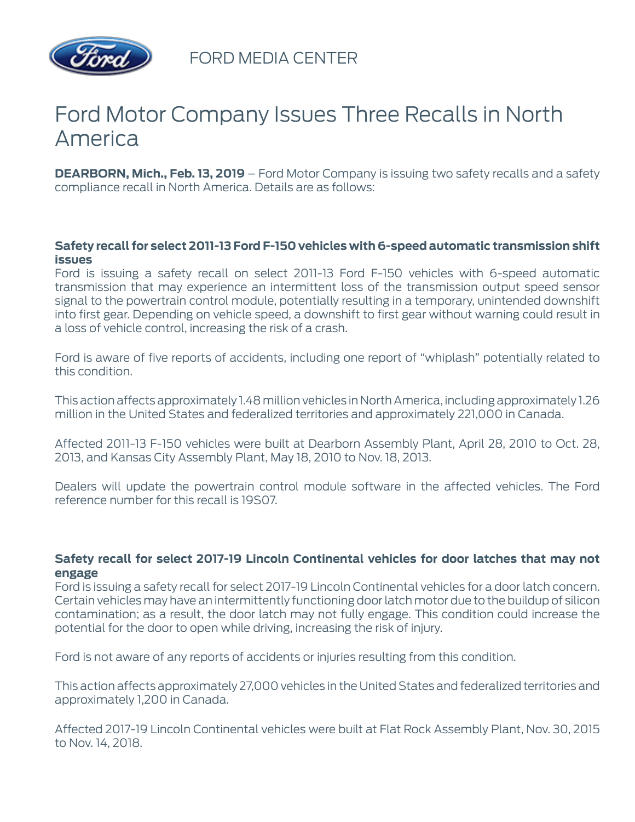

FORD MEDIA CENTER

# Ford Motor Company Issues Three Recalls in North America

**DEARBORN, Mich., Feb. 13, 2019** – Ford Motor Company is issuing two safety recalls and a safety compliance recall in North America. Details are as follows:

### **Safety recall for select 2011-13 Ford F-150 vehicles with 6-speed automatic transmission shift issues**

Ford is issuing a safety recall on select 2011-13 Ford F-150 vehicles with 6-speed automatic transmission that may experience an intermittent loss of the transmission output speed sensor signal to the powertrain control module, potentially resulting in a temporary, unintended downshift into first gear. Depending on vehicle speed, a downshift to first gear without warning could result in a loss of vehicle control, increasing the risk of a crash.

Ford is aware of five reports of accidents, including one report of "whiplash" potentially related to this condition.

This action affects approximately 1.48 million vehicles in North America, including approximately 1.26 million in the United States and federalized territories and approximately 221,000 in Canada.

Affected 2011-13 F-150 vehicles were built at Dearborn Assembly Plant, April 28, 2010 to Oct. 28, 2013, and Kansas City Assembly Plant, May 18, 2010 to Nov. 18, 2013.

Dealers will update the powertrain control module software in the affected vehicles. The Ford reference number for this recall is 19S07.

### **Safety recall for select 2017-19 Lincoln Continental vehicles for door latches that may not engage**

Ford is issuing a safety recall for select 2017-19 Lincoln Continental vehicles for a door latch concern. Certain vehicles may have an intermittently functioning door latch motor due to the buildup of silicon contamination; as a result, the door latch may not fully engage. This condition could increase the potential for the door to open while driving, increasing the risk of injury.

Ford is not aware of any reports of accidents or injuries resulting from this condition.

This action affects approximately 27,000 vehicles in the United States and federalized territories and approximately 1,200 in Canada.

Affected 2017-19 Lincoln Continental vehicles were built at Flat Rock Assembly Plant, Nov. 30, 2015 to Nov. 14, 2018.